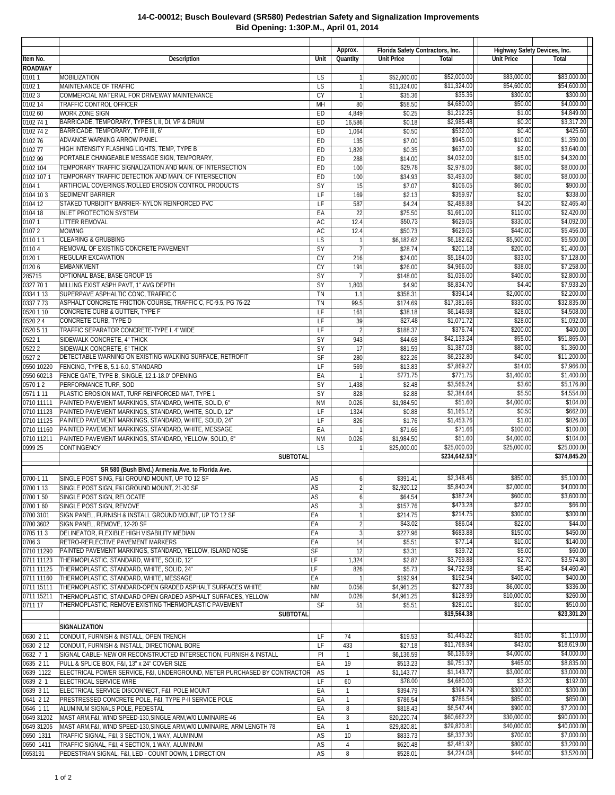|                          |                                                                                                                            |                        | Approx.                          |                            | Florida Safety Contractors, Inc. |                            | Highway Safety Devices, Inc. |
|--------------------------|----------------------------------------------------------------------------------------------------------------------------|------------------------|----------------------------------|----------------------------|----------------------------------|----------------------------|------------------------------|
| Item No.                 | <b>Description</b>                                                                                                         | Unit                   | Quantity                         | <b>Unit Price</b>          | Total                            | <b>Unit Price</b>          | Total                        |
| <b>ROADWAY</b>           |                                                                                                                            |                        |                                  |                            |                                  |                            |                              |
| 01011<br>01021           | <b>MOBILIZATION</b><br>MAINTENANCE OF TRAFFIC                                                                              | <b>LS</b><br>LS        | $\mathbf{1}$<br>$\mathbf{1}$     | \$52,000.00<br>\$11,324.00 | \$52,000.00<br>\$11,324.00       | \$83,000.00<br>\$54,600.00 | \$83,000.00<br>\$54,600.00   |
| 01023                    | COMMERCIAL MATERIAL FOR DRIVEWAY MAINTENANCE                                                                               | CY                     | $\overline{1}$                   | \$35.36                    | \$35.36                          | \$300.00                   | \$300.00                     |
| 0102 14                  | TRAFFIC CONTROL OFFICER                                                                                                    | MH                     | 80                               | \$58.50                    | \$4,680.00                       | \$50.00                    | \$4,000.00                   |
| 0102 60                  | <b>WORK ZONE SIGN</b>                                                                                                      | ED                     | 4,849                            | \$0.25                     | \$1,212.25                       | \$1.00                     | \$4,849.00                   |
| 0102 74 1                | BARRICADE, TEMPORARY, TYPES I, II, DI, VP & DRUM                                                                           | ED                     | 16,586                           | \$0.18                     | \$2,985.48                       | \$0.20                     | \$3,317.20                   |
| 0102 74 2<br>010276      | BARRICADE, TEMPORARY, TYPE III, 6'<br><b>ADVANCE WARNING ARROW PANEL</b>                                                   | ED<br>ED               | 1,064<br>135                     | \$0.50<br>\$7.00           | \$532.00<br>\$945.00             | \$0.40<br>\$10.00          | \$425.60<br>\$1,350.00       |
| 010277                   | HIGH INTENSITY FLASHING LIGHTS, TEMP, TYPE B                                                                               | ED                     | 1,820                            | \$0.35                     | \$637.00                         | \$2.00                     | \$3,640.00                   |
| 0102 99                  | PORTABLE CHANGEABLE MESSAGE SIGN, TEMPORARY,                                                                               | ED                     | 288                              | \$14.00                    | \$4,032.00                       | \$15.00                    | \$4,320.00                   |
| 0102 104                 | TEMPORARY TRAFFIC SIGNALIZATION AND MAIN. OF INTERSECTION                                                                  | ED                     | 100                              | \$29.78                    | \$2,978.00                       | \$80.00                    | \$8,000.00                   |
| 0102 107 1               | TEMPORARY TRAFFIC DETECTION AND MAIN. OF INTERSECTION                                                                      | ED                     | 100                              | \$34.93                    | \$3,493.00                       | \$80.00                    | \$8,000.00                   |
| 01041<br>0104 10 3       | ARTIFICIAL COVERINGS / ROLLED EROSION CONTROL PRODUCTS<br>SEDIMENT BARRIER                                                 | SY<br>LF               | 15<br>169                        | \$7.07<br>\$2.13           | \$106.05<br>\$359.97             | \$60.00<br>\$2.00          | \$900.00<br>\$338.00         |
| 0104 12                  | STAKED TURBIDITY BARRIER- NYLON REINFORCED PVC                                                                             | LF                     | 587                              | \$4.24                     | \$2,488.88                       | \$4.20                     | \$2,465.40                   |
| 0104 18                  | <b>INLET PROTECTION SYSTEM</b>                                                                                             | EA                     | 22                               | \$75.50                    | \$1,661.00                       | \$110.00                   | \$2,420.00                   |
| 01071                    | <b>LITTER REMOVAL</b>                                                                                                      | AC                     | 12.4                             | \$50.73                    | \$629.05                         | \$330.00                   | \$4,092.00                   |
| 01072                    | <b>MOWING</b>                                                                                                              | AC                     | 12.4                             | \$50.73                    | \$629.05                         | \$440.00                   | \$5,456.00                   |
| 011011<br>01104          | <b>CLEARING &amp; GRUBBING</b><br>REMOVAL OF EXISTING CONCRETE PAVEMENT                                                    | LS<br>SY               | $\overline{1}$<br>$\overline{7}$ | \$6,182.62<br>\$28.74      | \$6,182.62<br>\$201.18           | \$5,500.00<br>\$200.00     | \$5,500.00<br>\$1,400.00     |
| 01201                    | <b>REGULAR EXCAVATION</b>                                                                                                  | CY                     | 216                              | \$24.00                    | \$5,184.00                       | \$33.00                    | \$7,128.00                   |
| 01206                    | <b>EMBANKMENT</b>                                                                                                          | CY                     | 191                              | \$26.00                    | \$4,966.00                       | \$38.00                    | \$7,258.00                   |
| 285715                   | OPTIONAL BASE, BASE GROUP 15                                                                                               | SY                     | $\overline{7}$                   | \$148.00                   | \$1,036.00                       | \$400.00                   | \$2,800.00                   |
| 0327 70 1                | MILLING EXIST ASPH PAVT, 1" AVG DEPTH                                                                                      | SY                     | 1,803                            | \$4.90                     | \$8,834.70                       | \$4.40                     | \$7,933.20                   |
| 0334 1 13<br>0337 7 73   | SUPERPAVE ASPHALTIC CONC. TRAFFIC C<br>ASPHALT CONCRETE FRICTION COURSE, TRAFFIC C, FC-9.5, PG 76-22                       | <b>TN</b><br>TN        | 1.1<br>99.5                      | \$358.31<br>\$174.69       | \$394.14<br>\$17,381.66          | \$2,000.00<br>\$330.00     | \$2,200.00<br>\$32,835.00    |
| 0520 1 10                | CONCRETE CURB & GUTTER, TYPE F                                                                                             | LF                     | 161                              | \$38.18                    | \$6,146.98                       | \$28.00                    | \$4,508.00                   |
| 0520 2 4                 | <b>CONCRETE CURB, TYPE D</b>                                                                                               | LF                     | 39                               | \$27.48                    | \$1,071.72                       | \$28.00                    | \$1,092.00                   |
| 0520 5 11                | TRAFFIC SEPARATOR CONCRETE-TYPE I, 4' WIDE                                                                                 | LF                     | $\overline{2}$                   | \$188.37                   | \$376.74                         | \$200.00                   | \$400.00                     |
| 05221                    | SIDEWALK CONCRETE, 4" THICK                                                                                                | SY                     | 943                              | \$44.68                    | \$42,133.24                      | \$55.00                    | \$51,865.00                  |
| 05222<br>05272           | SIDEWALK CONCRETE, 6" THICK<br>DETECTABLE WARNING ON EXISTING WALKING SURFACE, RETROFIT                                    | SY<br>SF               | 17<br>280                        | \$81.59<br>\$22.26         | \$1,387.03<br>\$6,232.80         | \$80.00<br>\$40.00         | \$1,360.00<br>\$11,200.00    |
| 0550 10220               | FENCING, TYPE B, 5.1-6.0, STANDARD                                                                                         | LF                     | 569                              | \$13.83                    | \$7,869.27                       | \$14.00                    | \$7,966.00                   |
| 0550 60213               | FENCE GATE, TYPE B, SINGLE, 12.1-18.0' OPENING                                                                             | EA                     | $\overline{1}$                   | \$771.75                   | \$771.75                         | \$1,400.00                 | \$1,400.00                   |
| 057012                   | PERFORMANCE TURF, SOD                                                                                                      | SY                     | 1,438                            | \$2.48                     | \$3,566.24                       | \$3.60                     | \$5,176.80                   |
| 0571111                  | PLASTIC EROSION MAT, TURF REINFORCED MAT, TYPE 1                                                                           | SY                     | 828                              | \$2.88                     | \$2,384.64                       | \$5.50                     | \$4,554.00                   |
| 0710 11111<br>0710 11123 | PAINTED PAVEMENT MARKINGS, STANDARD, WHITE, SOLID, 6"<br>PAINTED PAVEMENT MARKINGS, STANDARD, WHITE, SOLID, 12"            | <b>NM</b><br>LF        | 0.026<br>1324                    | \$1,984.50<br>\$0.88       | \$51.60<br>\$1,165.12            | \$4,000.00<br>\$0.50       | \$104.00<br>\$662.00         |
| 0710 11125               | PAINTED PAVEMENT MARKINGS, STANDARD, WHITE, SOLID, 24"                                                                     | LF                     | 826                              | \$1.76                     | \$1,453.76                       | \$1.00                     | \$826.00                     |
| 0710 11160               | PAINTED PAVEMENT MARKINGS, STANDARD, WHITE, MESSAGE                                                                        | EA                     | $\mathbf{1}$                     | \$71.66                    | \$71.66                          | \$100.00                   | \$100.00                     |
| 0710 11211               | PAINTED PAVEMENT MARKINGS, STANDARD, YELLOW, SOLID, 6"                                                                     | <b>NM</b>              | 0.026                            | \$1,984.50                 | \$51.60                          | \$4,000.00                 | \$104.00                     |
| 0999 25                  | <b>CONTINGENCY</b>                                                                                                         | <b>LS</b>              | $\mathbf{1}$                     | \$25,000.00                | \$25,000.00                      | \$25,000.00                | \$25,000.00                  |
|                          | <b>SUBTOTAL</b>                                                                                                            |                        |                                  |                            | \$234,642.53                     |                            | \$374,845.20                 |
|                          | SR 580 (Bush Blvd.) Armenia Ave. to Florida Ave.                                                                           |                        |                                  |                            |                                  |                            |                              |
| 0700-1 11<br>0700 1 13   | SINGLE POST SING, F&I GROUND MOUNT, UP TO 12 SF<br>SINGLE POST SIGN, F&I GROUND MOUNT, 21-30 SF                            | AS<br>AS               | 6<br>$\overline{2}$              | \$391.41<br>\$2,920.12     | \$2,348.46<br>\$5,840.24         | \$850.00<br>\$2,000.00     | \$5,100.00<br>\$4,000.00     |
| 0700 1 50                | SINGLE POST SIGN, RELOCATE                                                                                                 | AS                     | $\boldsymbol{6}$                 | \$64.54                    | \$387.24                         | \$600.00                   | $\overline{$3,600.00}$       |
| 0700 1 60                | SINGLE POST SIGN, REMOVE                                                                                                   | AS                     | 3                                | \$157.76                   | \$473.28                         | \$22.00                    | \$66.00                      |
| 0700 3101                | SIGN PANEL, FURNISH & INSTALL GROUND MOUNT, UP TO 12 SF                                                                    | ΕA                     | $\mathbf{1}$                     | \$214.75                   | \$214.75                         | \$300.00                   | \$300.00                     |
| 0700 3602                | SIGN PANEL, REMOVE, 12-20 SF                                                                                               | ΕA                     | $\overline{c}$                   | \$43.02                    | \$86.04                          | \$22.00                    | \$44.00                      |
| 0705 113<br>07063        | DELINEATOR, FLEXIBLE HIGH VISABILITY MEDIAN<br>RETRO-REFLECTIVE PAVEMENT MARKERS                                           | ΕA<br>ΕA               | $\overline{3}$<br>14             | \$227.96<br>\$5.51         | \$683.88<br>\$77.14              | \$150.00<br>\$10.00        | \$450.00<br>\$140.00         |
| 0710 11290               | PAINTED PAVEMENT MARKINGS, STANDARD, YELLOW, ISLAND NOSE                                                                   | SF                     | 12                               | \$3.31                     | \$39.72                          | \$5.00                     | \$60.00                      |
| 0711 11123               | THERMOPLASTIC, STANDARD, WHITE, SOLID, 12"                                                                                 | LF                     | 1,324                            | \$2.87                     | \$3,799.88                       | \$2.70                     | \$3.574.80                   |
| 0711 11125               | THERMOPLASTIC, STANDARD, WHITE, SOLID, 24"                                                                                 | LF                     | 826                              | \$5.73                     | \$4,732.98                       | \$5.40                     | \$4,460.40                   |
| 0711 11160               | THERMOPLASTIC, STANDARD, WHITE, MESSAGE                                                                                    | EA                     | 1                                | \$192.94                   | \$192.94<br>\$277.83             | \$400.00                   | \$400.00<br>\$336.00         |
| 0711 15111<br>0711 15211 | THERMOPLASTIC, STANDARD-OPEN GRADED ASPHALT SURFACES WHITE<br>THERMOPLASTIC, STANDARD OPEN GRADED ASPHALT SURFACES, YELLOW | <b>NM</b><br><b>NM</b> | 0.056<br>0.026                   | \$4,961.25<br>\$4,961.25   | \$128.99                         | \$6,000.00<br>\$10,000.00  | \$260.00                     |
| 0711 17                  | THERMOPLASTIC, REMOVE EXISTING THERMOPLASTIC PAVEMENT                                                                      | <b>SF</b>              | 51                               | \$5.51                     | \$281.01                         | \$10.00                    | \$510.00                     |
|                          | <b>SUBTOTAL</b>                                                                                                            |                        |                                  |                            | \$19,564.38                      |                            | \$23,301.20                  |
|                          | SIGNALIZATION                                                                                                              |                        |                                  |                            |                                  |                            |                              |
| 0630 2 11                | CONDUIT, FURNISH & INSTALL, OPEN TRENCH                                                                                    | LF                     | 74                               | \$19.53                    | \$1,445.22                       | \$15.00                    | \$1,110.00                   |
| 0630 2 12                | CONDUIT, FURNISH & INSTALL, DIRECTIONAL BORE                                                                               | LF                     | 433                              | \$27.18                    | \$11,768.94                      | \$43.00                    | \$18,619.00                  |
| 0632 7 1                 | SIGNAL CABLE- NEW OR RECONSTRUCTED INTERSECTION, FURNISH & INSTALL                                                         | PI                     | -1                               | \$6,136.59                 | \$6,136.59                       | \$4,000.00<br>\$465.00     | \$4,000.00<br>\$8,835.00     |
| 0635 2 11<br>0639 1122   | PULL & SPLICE BOX, F&I, 13" x 24" COVER SIZE<br>ELECTRICAL POWER SERVICE, F&I, UNDERGROUND, METER PURCHASED BY CONTRACTOR  | EA<br>AS               | 19<br>-1                         | \$513.23<br>\$1,143.77     | \$9,751.37<br>\$1,143.77         | \$3,000.00                 | \$3,000.00                   |
| 0639 2 1                 | ELECTRICAL SERVICE WIRE                                                                                                    | LF                     | 60                               | \$78.00                    | \$4,680.00                       | \$3.20                     | \$192.00                     |
| 0639 3 11                | ELECTRICAL SERVICE DISCONNECT, F&I, POLE MOUNT                                                                             | EA                     | -1                               | \$394.79                   | \$394.79                         | \$300.00                   | \$300.00                     |
| 0641 2 12                | PRESTRESSED CONCRETE POLE, F&I, TYPE P-II SERVICE POLE                                                                     | EA                     | 1                                | \$786.54                   | \$786.54                         | \$850.00                   | \$850.00                     |
| 0646 1 11                | ALUMINUM SIGNALS POLE, PEDESTAL                                                                                            | EA                     | 8                                | \$818.43                   | \$6,547.44                       | \$900.00                   | \$7,200.00                   |
| 0649 31202<br>0649 31205 | MAST ARM, F&I, WIND SPEED-130, SINGLE ARM, W/0 LUMINAIRE-46                                                                | EA<br>EA               | 3<br>1                           | \$20,220.74<br>\$29,820.81 | \$60,662.22<br>\$29,820.81       | \$30,000.00<br>\$40,000.00 | \$90,000.00<br>\$40,000.00   |
| 0650 1311                | MAST ARM, F&I, WIND SPEED-130, SINGLE ARM, W/0 LUMINAIRE, ARM LENGTH 78<br>TRAFFIC SIGNAL, F&I, 3 SECTION, 1 WAY, ALUMINUM | AS                     | 10                               | \$833.73                   | \$8,337.30                       | \$700.00                   | \$7,000.00                   |
| 0650 1411                | TRAFFIC SIGNAL, F&I, 4 SECTION, 1 WAY, ALUMINUM                                                                            | AS                     | $\overline{4}$                   | \$620.48                   | \$2,481.92                       | \$800.00                   | \$3,200.00                   |
| 0653191                  | PEDESTRIAN SIGNAL, F&I, LED - COUNT DOWN, 1 DIRECTION                                                                      | AS                     | 8                                | \$528.01                   | \$4,224.08                       | \$440.00                   | \$3,520.00                   |

## **14-C-00012; Busch Boulevard (SR580) Pedestrian Safety and Signalization Improvements Bid Opening: 1:30P.M., April 01, 2014**